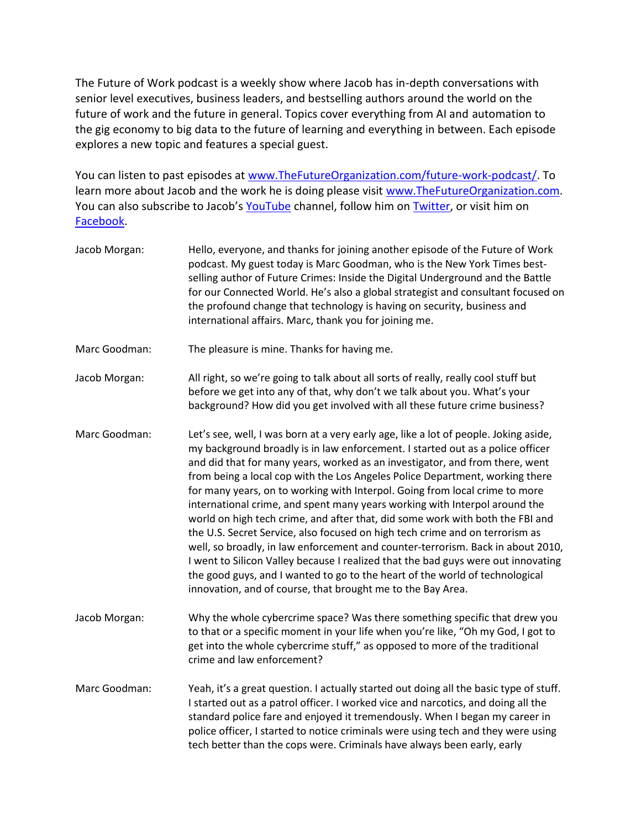The Future of Work podcast is a weekly show where Jacob has in-depth conversations with senior level executives, business leaders, and bestselling authors around the world on the future of work and the future in general. Topics cover everything from AI and automation to the gig economy to big data to the future of learning and everything in between. Each episode explores a new topic and features a special guest.

You can listen to past episodes at [www.TheFutureOrganization.com/future-work-podcast/.](http://www.thefutureorganization.com/future-work-podcast/) To learn more about Jacob and the work he is doing please visit [www.TheFutureOrganization.com.](http://www.thefutureorganization.com/) You can also subscribe to Jacob's [YouTube](https://www.youtube.com/user/jacobmorgan8) channel, follow him on [Twitter,](https://twitter.com/jacobm) or visit him on [Facebook.](https://www.facebook.com/FuturistJacob)

| Jacob Morgan: | Hello, everyone, and thanks for joining another episode of the Future of Work<br>podcast. My guest today is Marc Goodman, who is the New York Times best-<br>selling author of Future Crimes: Inside the Digital Underground and the Battle<br>for our Connected World. He's also a global strategist and consultant focused on<br>the profound change that technology is having on security, business and<br>international affairs. Marc, thank you for joining me.                                                                                                                                                                                                                                                                                                                                                                                                                                                                                                                        |
|---------------|---------------------------------------------------------------------------------------------------------------------------------------------------------------------------------------------------------------------------------------------------------------------------------------------------------------------------------------------------------------------------------------------------------------------------------------------------------------------------------------------------------------------------------------------------------------------------------------------------------------------------------------------------------------------------------------------------------------------------------------------------------------------------------------------------------------------------------------------------------------------------------------------------------------------------------------------------------------------------------------------|
| Marc Goodman: | The pleasure is mine. Thanks for having me.                                                                                                                                                                                                                                                                                                                                                                                                                                                                                                                                                                                                                                                                                                                                                                                                                                                                                                                                                 |
| Jacob Morgan: | All right, so we're going to talk about all sorts of really, really cool stuff but<br>before we get into any of that, why don't we talk about you. What's your<br>background? How did you get involved with all these future crime business?                                                                                                                                                                                                                                                                                                                                                                                                                                                                                                                                                                                                                                                                                                                                                |
| Marc Goodman: | Let's see, well, I was born at a very early age, like a lot of people. Joking aside,<br>my background broadly is in law enforcement. I started out as a police officer<br>and did that for many years, worked as an investigator, and from there, went<br>from being a local cop with the Los Angeles Police Department, working there<br>for many years, on to working with Interpol. Going from local crime to more<br>international crime, and spent many years working with Interpol around the<br>world on high tech crime, and after that, did some work with both the FBI and<br>the U.S. Secret Service, also focused on high tech crime and on terrorism as<br>well, so broadly, in law enforcement and counter-terrorism. Back in about 2010,<br>I went to Silicon Valley because I realized that the bad guys were out innovating<br>the good guys, and I wanted to go to the heart of the world of technological<br>innovation, and of course, that brought me to the Bay Area. |
| Jacob Morgan: | Why the whole cybercrime space? Was there something specific that drew you<br>to that or a specific moment in your life when you're like, "Oh my God, I got to<br>get into the whole cybercrime stuff," as opposed to more of the traditional<br>crime and law enforcement?                                                                                                                                                                                                                                                                                                                                                                                                                                                                                                                                                                                                                                                                                                                 |
| Marc Goodman: | Yeah, it's a great question. I actually started out doing all the basic type of stuff.<br>I started out as a patrol officer. I worked vice and narcotics, and doing all the<br>standard police fare and enjoyed it tremendously. When I began my career in<br>police officer, I started to notice criminals were using tech and they were using<br>tech better than the cops were. Criminals have always been early, early                                                                                                                                                                                                                                                                                                                                                                                                                                                                                                                                                                  |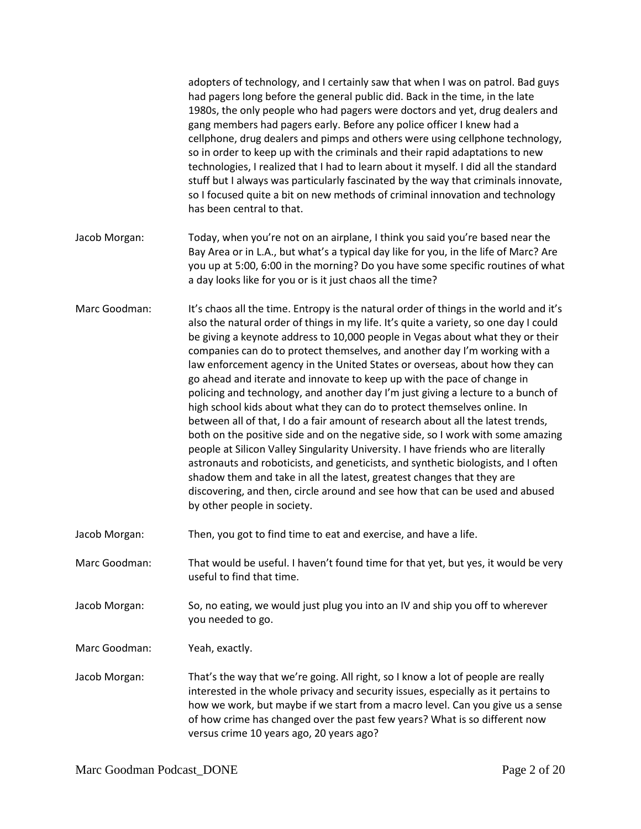|               | adopters of technology, and I certainly saw that when I was on patrol. Bad guys<br>had pagers long before the general public did. Back in the time, in the late<br>1980s, the only people who had pagers were doctors and yet, drug dealers and<br>gang members had pagers early. Before any police officer I knew had a<br>cellphone, drug dealers and pimps and others were using cellphone technology,<br>so in order to keep up with the criminals and their rapid adaptations to new<br>technologies, I realized that I had to learn about it myself. I did all the standard<br>stuff but I always was particularly fascinated by the way that criminals innovate,<br>so I focused quite a bit on new methods of criminal innovation and technology<br>has been central to that.                                                                                                                                                                                                                                                                                                                                                                                                                               |
|---------------|---------------------------------------------------------------------------------------------------------------------------------------------------------------------------------------------------------------------------------------------------------------------------------------------------------------------------------------------------------------------------------------------------------------------------------------------------------------------------------------------------------------------------------------------------------------------------------------------------------------------------------------------------------------------------------------------------------------------------------------------------------------------------------------------------------------------------------------------------------------------------------------------------------------------------------------------------------------------------------------------------------------------------------------------------------------------------------------------------------------------------------------------------------------------------------------------------------------------|
| Jacob Morgan: | Today, when you're not on an airplane, I think you said you're based near the<br>Bay Area or in L.A., but what's a typical day like for you, in the life of Marc? Are<br>you up at 5:00, 6:00 in the morning? Do you have some specific routines of what<br>a day looks like for you or is it just chaos all the time?                                                                                                                                                                                                                                                                                                                                                                                                                                                                                                                                                                                                                                                                                                                                                                                                                                                                                              |
| Marc Goodman: | It's chaos all the time. Entropy is the natural order of things in the world and it's<br>also the natural order of things in my life. It's quite a variety, so one day I could<br>be giving a keynote address to 10,000 people in Vegas about what they or their<br>companies can do to protect themselves, and another day I'm working with a<br>law enforcement agency in the United States or overseas, about how they can<br>go ahead and iterate and innovate to keep up with the pace of change in<br>policing and technology, and another day I'm just giving a lecture to a bunch of<br>high school kids about what they can do to protect themselves online. In<br>between all of that, I do a fair amount of research about all the latest trends,<br>both on the positive side and on the negative side, so I work with some amazing<br>people at Silicon Valley Singularity University. I have friends who are literally<br>astronauts and roboticists, and geneticists, and synthetic biologists, and I often<br>shadow them and take in all the latest, greatest changes that they are<br>discovering, and then, circle around and see how that can be used and abused<br>by other people in society. |
| Jacob Morgan: | Then, you got to find time to eat and exercise, and have a life.                                                                                                                                                                                                                                                                                                                                                                                                                                                                                                                                                                                                                                                                                                                                                                                                                                                                                                                                                                                                                                                                                                                                                    |
| Marc Goodman: | That would be useful. I haven't found time for that yet, but yes, it would be very<br>useful to find that time.                                                                                                                                                                                                                                                                                                                                                                                                                                                                                                                                                                                                                                                                                                                                                                                                                                                                                                                                                                                                                                                                                                     |
| Jacob Morgan: | So, no eating, we would just plug you into an IV and ship you off to wherever<br>you needed to go.                                                                                                                                                                                                                                                                                                                                                                                                                                                                                                                                                                                                                                                                                                                                                                                                                                                                                                                                                                                                                                                                                                                  |
| Marc Goodman: | Yeah, exactly.                                                                                                                                                                                                                                                                                                                                                                                                                                                                                                                                                                                                                                                                                                                                                                                                                                                                                                                                                                                                                                                                                                                                                                                                      |
| Jacob Morgan: | That's the way that we're going. All right, so I know a lot of people are really<br>interested in the whole privacy and security issues, especially as it pertains to<br>how we work, but maybe if we start from a macro level. Can you give us a sense<br>of how crime has changed over the past few years? What is so different now<br>versus crime 10 years ago, 20 years ago?                                                                                                                                                                                                                                                                                                                                                                                                                                                                                                                                                                                                                                                                                                                                                                                                                                   |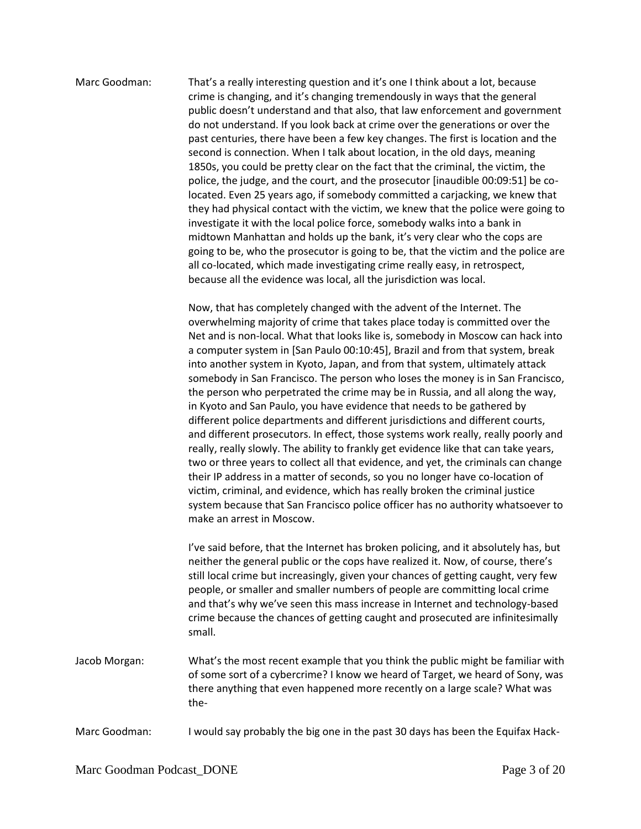## Marc Goodman: That's a really interesting question and it's one I think about a lot, because crime is changing, and it's changing tremendously in ways that the general public doesn't understand and that also, that law enforcement and government do not understand. If you look back at crime over the generations or over the past centuries, there have been a few key changes. The first is location and the second is connection. When I talk about location, in the old days, meaning 1850s, you could be pretty clear on the fact that the criminal, the victim, the police, the judge, and the court, and the prosecutor [inaudible 00:09:51] be colocated. Even 25 years ago, if somebody committed a carjacking, we knew that they had physical contact with the victim, we knew that the police were going to investigate it with the local police force, somebody walks into a bank in midtown Manhattan and holds up the bank, it's very clear who the cops are going to be, who the prosecutor is going to be, that the victim and the police are all co-located, which made investigating crime really easy, in retrospect, because all the evidence was local, all the jurisdiction was local.

Now, that has completely changed with the advent of the Internet. The overwhelming majority of crime that takes place today is committed over the Net and is non-local. What that looks like is, somebody in Moscow can hack into a computer system in [San Paulo 00:10:45], Brazil and from that system, break into another system in Kyoto, Japan, and from that system, ultimately attack somebody in San Francisco. The person who loses the money is in San Francisco, the person who perpetrated the crime may be in Russia, and all along the way, in Kyoto and San Paulo, you have evidence that needs to be gathered by different police departments and different jurisdictions and different courts, and different prosecutors. In effect, those systems work really, really poorly and really, really slowly. The ability to frankly get evidence like that can take years, two or three years to collect all that evidence, and yet, the criminals can change their IP address in a matter of seconds, so you no longer have co-location of victim, criminal, and evidence, which has really broken the criminal justice system because that San Francisco police officer has no authority whatsoever to make an arrest in Moscow.

I've said before, that the Internet has broken policing, and it absolutely has, but neither the general public or the cops have realized it. Now, of course, there's still local crime but increasingly, given your chances of getting caught, very few people, or smaller and smaller numbers of people are committing local crime and that's why we've seen this mass increase in Internet and technology-based crime because the chances of getting caught and prosecuted are infinitesimally small.

- Jacob Morgan: What's the most recent example that you think the public might be familiar with of some sort of a cybercrime? I know we heard of Target, we heard of Sony, was there anything that even happened more recently on a large scale? What was the-
- Marc Goodman: I would say probably the big one in the past 30 days has been the Equifax Hack-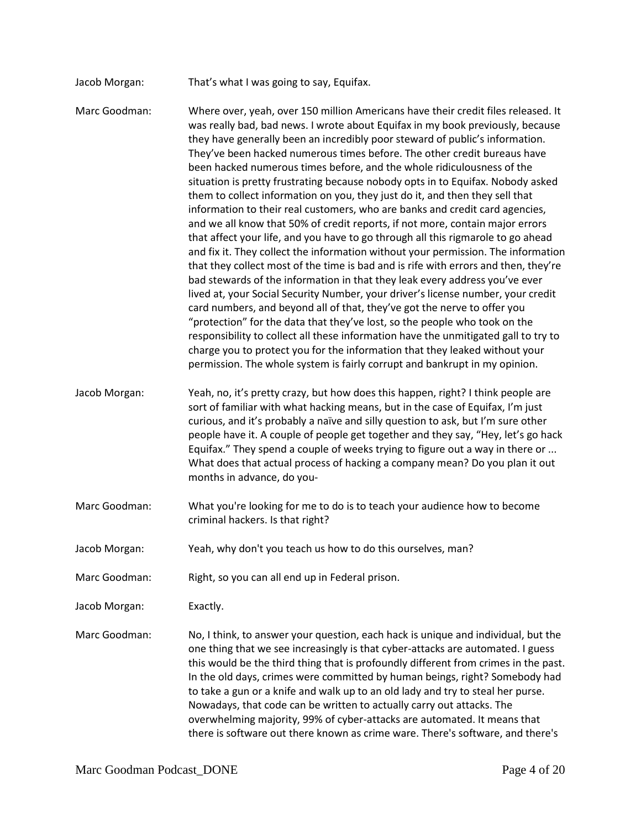Jacob Morgan: That's what I was going to say, Equifax.

Marc Goodman: Where over, yeah, over 150 million Americans have their credit files released. It was really bad, bad news. I wrote about Equifax in my book previously, because they have generally been an incredibly poor steward of public's information. They've been hacked numerous times before. The other credit bureaus have been hacked numerous times before, and the whole ridiculousness of the situation is pretty frustrating because nobody opts in to Equifax. Nobody asked them to collect information on you, they just do it, and then they sell that information to their real customers, who are banks and credit card agencies, and we all know that 50% of credit reports, if not more, contain major errors that affect your life, and you have to go through all this rigmarole to go ahead and fix it. They collect the information without your permission. The information that they collect most of the time is bad and is rife with errors and then, they're bad stewards of the information in that they leak every address you've ever lived at, your Social Security Number, your driver's license number, your credit card numbers, and beyond all of that, they've got the nerve to offer you "protection" for the data that they've lost, so the people who took on the responsibility to collect all these information have the unmitigated gall to try to charge you to protect you for the information that they leaked without your permission. The whole system is fairly corrupt and bankrupt in my opinion. Jacob Morgan: Yeah, no, it's pretty crazy, but how does this happen, right? I think people are

sort of familiar with what hacking means, but in the case of Equifax, I'm just curious, and it's probably a naïve and silly question to ask, but I'm sure other people have it. A couple of people get together and they say, "Hey, let's go hack Equifax." They spend a couple of weeks trying to figure out a way in there or ... What does that actual process of hacking a company mean? Do you plan it out months in advance, do you-

- Marc Goodman: What you're looking for me to do is to teach your audience how to become criminal hackers. Is that right?
- Jacob Morgan: Yeah, why don't you teach us how to do this ourselves, man?
- Marc Goodman: Right, so you can all end up in Federal prison.

Jacob Morgan: Exactly.

Marc Goodman: No, I think, to answer your question, each hack is unique and individual, but the one thing that we see increasingly is that cyber-attacks are automated. I guess this would be the third thing that is profoundly different from crimes in the past. In the old days, crimes were committed by human beings, right? Somebody had to take a gun or a knife and walk up to an old lady and try to steal her purse. Nowadays, that code can be written to actually carry out attacks. The overwhelming majority, 99% of cyber-attacks are automated. It means that there is software out there known as crime ware. There's software, and there's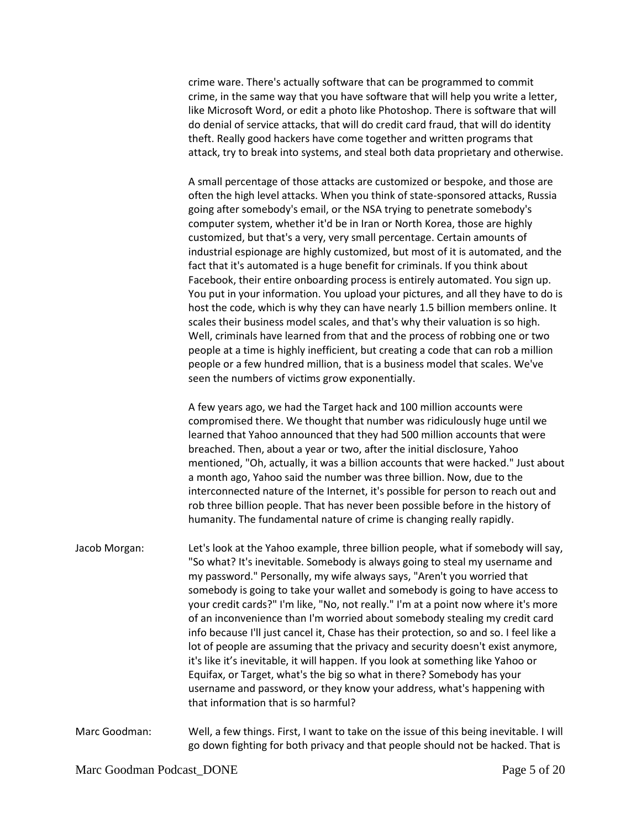crime ware. There's actually software that can be programmed to commit crime, in the same way that you have software that will help you write a letter, like Microsoft Word, or edit a photo like Photoshop. There is software that will do denial of service attacks, that will do credit card fraud, that will do identity theft. Really good hackers have come together and written programs that attack, try to break into systems, and steal both data proprietary and otherwise.

A small percentage of those attacks are customized or bespoke, and those are often the high level attacks. When you think of state-sponsored attacks, Russia going after somebody's email, or the NSA trying to penetrate somebody's computer system, whether it'd be in Iran or North Korea, those are highly customized, but that's a very, very small percentage. Certain amounts of industrial espionage are highly customized, but most of it is automated, and the fact that it's automated is a huge benefit for criminals. If you think about Facebook, their entire onboarding process is entirely automated. You sign up. You put in your information. You upload your pictures, and all they have to do is host the code, which is why they can have nearly 1.5 billion members online. It scales their business model scales, and that's why their valuation is so high. Well, criminals have learned from that and the process of robbing one or two people at a time is highly inefficient, but creating a code that can rob a million people or a few hundred million, that is a business model that scales. We've seen the numbers of victims grow exponentially.

A few years ago, we had the Target hack and 100 million accounts were compromised there. We thought that number was ridiculously huge until we learned that Yahoo announced that they had 500 million accounts that were breached. Then, about a year or two, after the initial disclosure, Yahoo mentioned, "Oh, actually, it was a billion accounts that were hacked." Just about a month ago, Yahoo said the number was three billion. Now, due to the interconnected nature of the Internet, it's possible for person to reach out and rob three billion people. That has never been possible before in the history of humanity. The fundamental nature of crime is changing really rapidly.

Jacob Morgan: Let's look at the Yahoo example, three billion people, what if somebody will say, "So what? It's inevitable. Somebody is always going to steal my username and my password." Personally, my wife always says, "Aren't you worried that somebody is going to take your wallet and somebody is going to have access to your credit cards?" I'm like, "No, not really." I'm at a point now where it's more of an inconvenience than I'm worried about somebody stealing my credit card info because I'll just cancel it, Chase has their protection, so and so. I feel like a lot of people are assuming that the privacy and security doesn't exist anymore, it's like it's inevitable, it will happen. If you look at something like Yahoo or Equifax, or Target, what's the big so what in there? Somebody has your username and password, or they know your address, what's happening with that information that is so harmful?

Marc Goodman: Well, a few things. First, I want to take on the issue of this being inevitable. I will go down fighting for both privacy and that people should not be hacked. That is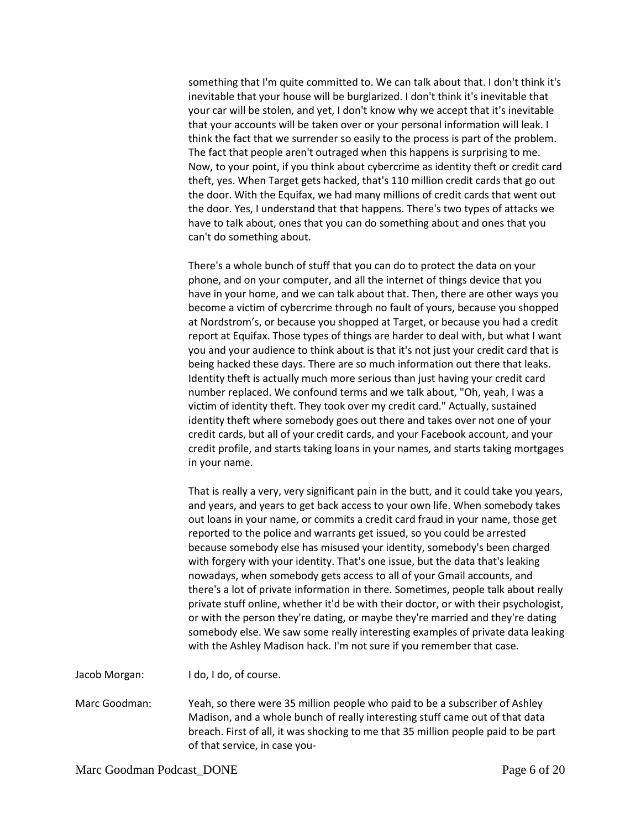something that I'm quite committed to. We can talk about that. I don't think it's inevitable that your house will be burglarized. I don't think it's inevitable that your car will be stolen, and yet, I don't know why we accept that it's inevitable that your accounts will be taken over or your personal information will leak. I think the fact that we surrender so easily to the process is part of the problem. The fact that people aren't outraged when this happens is surprising to me. Now, to your point, if you think about cybercrime as identity theft or credit card theft, yes. When Target gets hacked, that's 110 million credit cards that go out the door. With the Equifax, we had many millions of credit cards that went out the door. Yes, I understand that that happens. There's two types of attacks we have to talk about, ones that you can do something about and ones that you can't do something about.

There's a whole bunch of stuff that you can do to protect the data on your phone, and on your computer, and all the internet of things device that you have in your home, and we can talk about that. Then, there are other ways you become a victim of cybercrime through no fault of yours, because you shopped at Nordstrom's, or because you shopped at Target, or because you had a credit report at Equifax. Those types of things are harder to deal with, but what I want you and your audience to think about is that it's not just your credit card that is being hacked these days. There are so much information out there that leaks. Identity theft is actually much more serious than just having your credit card number replaced. We confound terms and we talk about, "Oh, yeah, I was a victim of identity theft. They took over my credit card." Actually, sustained identity theft where somebody goes out there and takes over not one of your credit cards, but all of your credit cards, and your Facebook account, and your credit profile, and starts taking loans in your names, and starts taking mortgages in your name.

That is really a very, very significant pain in the butt, and it could take you years, and years, and years to get back access to your own life. When somebody takes out loans in your name, or commits a credit card fraud in your name, those get reported to the police and warrants get issued, so you could be arrested because somebody else has misused your identity, somebody's been charged with forgery with your identity. That's one issue, but the data that's leaking nowadays, when somebody gets access to all of your Gmail accounts, and there's a lot of private information in there. Sometimes, people talk about really private stuff online, whether it'd be with their doctor, or with their psychologist, or with the person they're dating, or maybe they're married and they're dating somebody else. We saw some really interesting examples of private data leaking with the Ashley Madison hack. I'm not sure if you remember that case.

Jacob Morgan: I do, I do, of course.

Marc Goodman: Yeah, so there were 35 million people who paid to be a subscriber of Ashley Madison, and a whole bunch of really interesting stuff came out of that data breach. First of all, it was shocking to me that 35 million people paid to be part of that service, in case you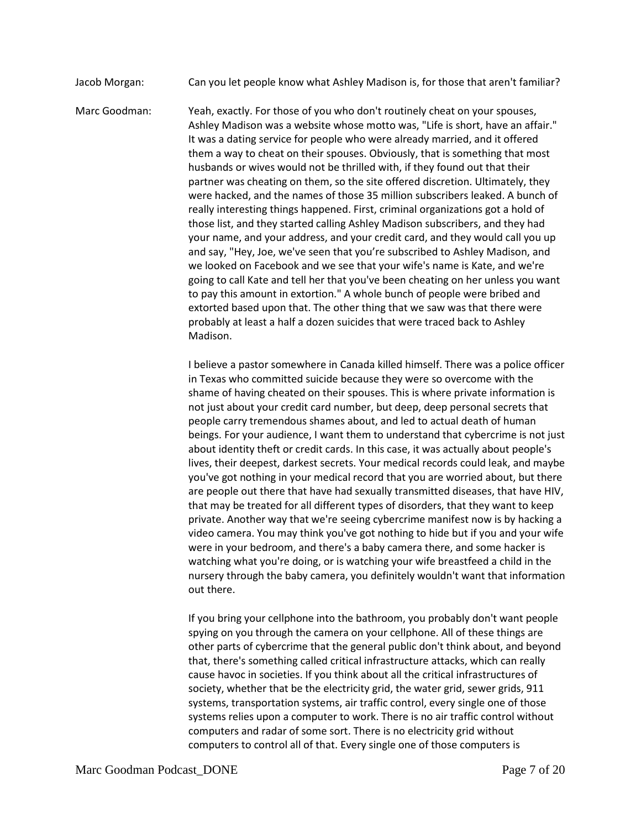Jacob Morgan: Can you let people know what Ashley Madison is, for those that aren't familiar?

Marc Goodman: Yeah, exactly. For those of you who don't routinely cheat on your spouses, Ashley Madison was a website whose motto was, "Life is short, have an affair." It was a dating service for people who were already married, and it offered them a way to cheat on their spouses. Obviously, that is something that most husbands or wives would not be thrilled with, if they found out that their partner was cheating on them, so the site offered discretion. Ultimately, they were hacked, and the names of those 35 million subscribers leaked. A bunch of really interesting things happened. First, criminal organizations got a hold of those list, and they started calling Ashley Madison subscribers, and they had your name, and your address, and your credit card, and they would call you up and say, "Hey, Joe, we've seen that you're subscribed to Ashley Madison, and we looked on Facebook and we see that your wife's name is Kate, and we're going to call Kate and tell her that you've been cheating on her unless you want to pay this amount in extortion." A whole bunch of people were bribed and extorted based upon that. The other thing that we saw was that there were probably at least a half a dozen suicides that were traced back to Ashley Madison.

> I believe a pastor somewhere in Canada killed himself. There was a police officer in Texas who committed suicide because they were so overcome with the shame of having cheated on their spouses. This is where private information is not just about your credit card number, but deep, deep personal secrets that people carry tremendous shames about, and led to actual death of human beings. For your audience, I want them to understand that cybercrime is not just about identity theft or credit cards. In this case, it was actually about people's lives, their deepest, darkest secrets. Your medical records could leak, and maybe you've got nothing in your medical record that you are worried about, but there are people out there that have had sexually transmitted diseases, that have HIV, that may be treated for all different types of disorders, that they want to keep private. Another way that we're seeing cybercrime manifest now is by hacking a video camera. You may think you've got nothing to hide but if you and your wife were in your bedroom, and there's a baby camera there, and some hacker is watching what you're doing, or is watching your wife breastfeed a child in the nursery through the baby camera, you definitely wouldn't want that information out there.

If you bring your cellphone into the bathroom, you probably don't want people spying on you through the camera on your cellphone. All of these things are other parts of cybercrime that the general public don't think about, and beyond that, there's something called critical infrastructure attacks, which can really cause havoc in societies. If you think about all the critical infrastructures of society, whether that be the electricity grid, the water grid, sewer grids, 911 systems, transportation systems, air traffic control, every single one of those systems relies upon a computer to work. There is no air traffic control without computers and radar of some sort. There is no electricity grid without computers to control all of that. Every single one of those computers is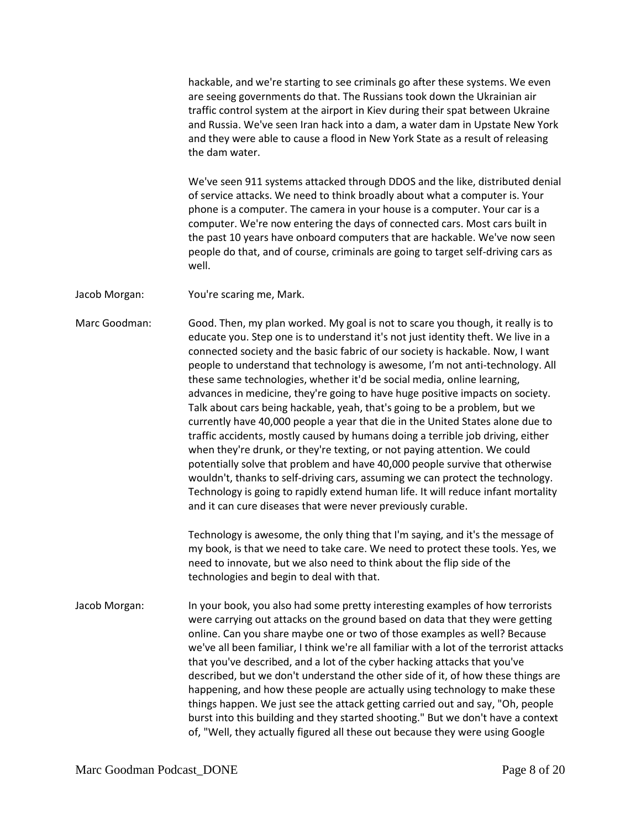hackable, and we're starting to see criminals go after these systems. We even are seeing governments do that. The Russians took down the Ukrainian air traffic control system at the airport in Kiev during their spat between Ukraine and Russia. We've seen Iran hack into a dam, a water dam in Upstate New York and they were able to cause a flood in New York State as a result of releasing the dam water.

We've seen 911 systems attacked through DDOS and the like, distributed denial of service attacks. We need to think broadly about what a computer is. Your phone is a computer. The camera in your house is a computer. Your car is a computer. We're now entering the days of connected cars. Most cars built in the past 10 years have onboard computers that are hackable. We've now seen people do that, and of course, criminals are going to target self-driving cars as well.

Jacob Morgan: You're scaring me, Mark.

Marc Goodman: Good. Then, my plan worked. My goal is not to scare you though, it really is to educate you. Step one is to understand it's not just identity theft. We live in a connected society and the basic fabric of our society is hackable. Now, I want people to understand that technology is awesome, I'm not anti-technology. All these same technologies, whether it'd be social media, online learning, advances in medicine, they're going to have huge positive impacts on society. Talk about cars being hackable, yeah, that's going to be a problem, but we currently have 40,000 people a year that die in the United States alone due to traffic accidents, mostly caused by humans doing a terrible job driving, either when they're drunk, or they're texting, or not paying attention. We could potentially solve that problem and have 40,000 people survive that otherwise wouldn't, thanks to self-driving cars, assuming we can protect the technology. Technology is going to rapidly extend human life. It will reduce infant mortality and it can cure diseases that were never previously curable.

> Technology is awesome, the only thing that I'm saying, and it's the message of my book, is that we need to take care. We need to protect these tools. Yes, we need to innovate, but we also need to think about the flip side of the technologies and begin to deal with that.

Jacob Morgan: In your book, you also had some pretty interesting examples of how terrorists were carrying out attacks on the ground based on data that they were getting online. Can you share maybe one or two of those examples as well? Because we've all been familiar, I think we're all familiar with a lot of the terrorist attacks that you've described, and a lot of the cyber hacking attacks that you've described, but we don't understand the other side of it, of how these things are happening, and how these people are actually using technology to make these things happen. We just see the attack getting carried out and say, "Oh, people burst into this building and they started shooting." But we don't have a context of, "Well, they actually figured all these out because they were using Google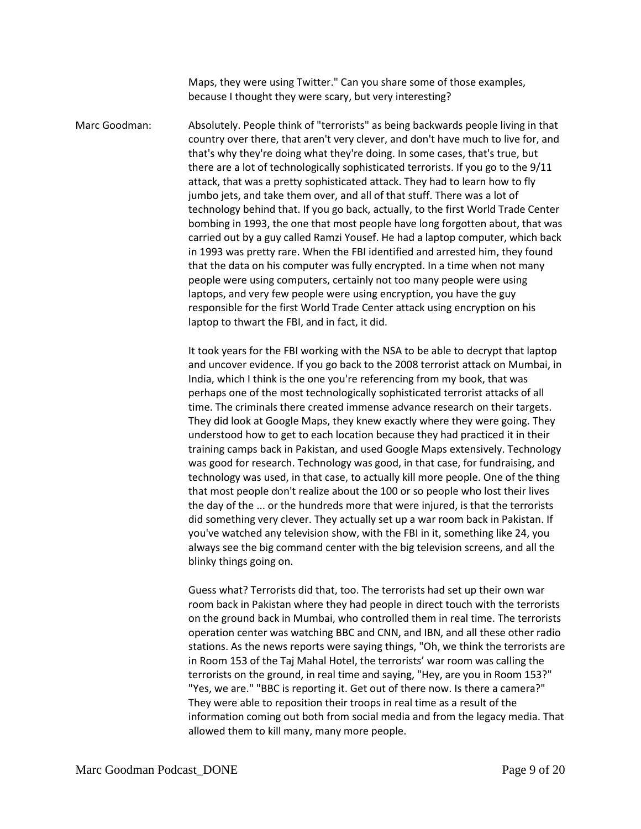Maps, they were using Twitter." Can you share some of those examples, because I thought they were scary, but very interesting?

Marc Goodman: Absolutely. People think of "terrorists" as being backwards people living in that country over there, that aren't very clever, and don't have much to live for, and that's why they're doing what they're doing. In some cases, that's true, but there are a lot of technologically sophisticated terrorists. If you go to the 9/11 attack, that was a pretty sophisticated attack. They had to learn how to fly jumbo jets, and take them over, and all of that stuff. There was a lot of technology behind that. If you go back, actually, to the first World Trade Center bombing in 1993, the one that most people have long forgotten about, that was carried out by a guy called Ramzi Yousef. He had a laptop computer, which back in 1993 was pretty rare. When the FBI identified and arrested him, they found that the data on his computer was fully encrypted. In a time when not many people were using computers, certainly not too many people were using laptops, and very few people were using encryption, you have the guy responsible for the first World Trade Center attack using encryption on his laptop to thwart the FBI, and in fact, it did.

> It took years for the FBI working with the NSA to be able to decrypt that laptop and uncover evidence. If you go back to the 2008 terrorist attack on Mumbai, in India, which I think is the one you're referencing from my book, that was perhaps one of the most technologically sophisticated terrorist attacks of all time. The criminals there created immense advance research on their targets. They did look at Google Maps, they knew exactly where they were going. They understood how to get to each location because they had practiced it in their training camps back in Pakistan, and used Google Maps extensively. Technology was good for research. Technology was good, in that case, for fundraising, and technology was used, in that case, to actually kill more people. One of the thing that most people don't realize about the 100 or so people who lost their lives the day of the ... or the hundreds more that were injured, is that the terrorists did something very clever. They actually set up a war room back in Pakistan. If you've watched any television show, with the FBI in it, something like 24, you always see the big command center with the big television screens, and all the blinky things going on.

> Guess what? Terrorists did that, too. The terrorists had set up their own war room back in Pakistan where they had people in direct touch with the terrorists on the ground back in Mumbai, who controlled them in real time. The terrorists operation center was watching BBC and CNN, and IBN, and all these other radio stations. As the news reports were saying things, "Oh, we think the terrorists are in Room 153 of the Taj Mahal Hotel, the terrorists' war room was calling the terrorists on the ground, in real time and saying, "Hey, are you in Room 153?" "Yes, we are." "BBC is reporting it. Get out of there now. Is there a camera?" They were able to reposition their troops in real time as a result of the information coming out both from social media and from the legacy media. That allowed them to kill many, many more people.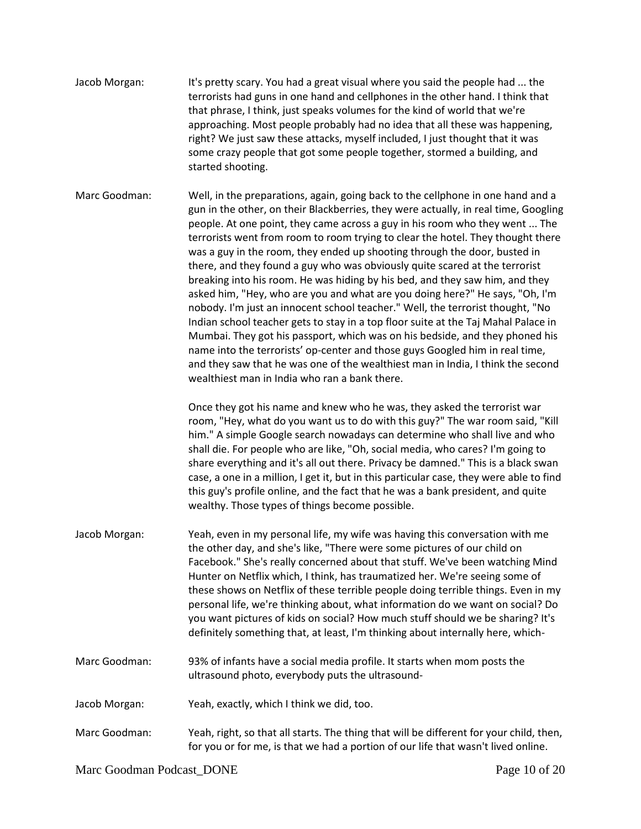- Jacob Morgan: It's pretty scary. You had a great visual where you said the people had ... the terrorists had guns in one hand and cellphones in the other hand. I think that that phrase, I think, just speaks volumes for the kind of world that we're approaching. Most people probably had no idea that all these was happening, right? We just saw these attacks, myself included, I just thought that it was some crazy people that got some people together, stormed a building, and started shooting.
- Marc Goodman: Well, in the preparations, again, going back to the cellphone in one hand and a gun in the other, on their Blackberries, they were actually, in real time, Googling people. At one point, they came across a guy in his room who they went ... The terrorists went from room to room trying to clear the hotel. They thought there was a guy in the room, they ended up shooting through the door, busted in there, and they found a guy who was obviously quite scared at the terrorist breaking into his room. He was hiding by his bed, and they saw him, and they asked him, "Hey, who are you and what are you doing here?" He says, "Oh, I'm nobody. I'm just an innocent school teacher." Well, the terrorist thought, "No Indian school teacher gets to stay in a top floor suite at the Taj Mahal Palace in Mumbai. They got his passport, which was on his bedside, and they phoned his name into the terrorists' op-center and those guys Googled him in real time, and they saw that he was one of the wealthiest man in India, I think the second wealthiest man in India who ran a bank there.

Once they got his name and knew who he was, they asked the terrorist war room, "Hey, what do you want us to do with this guy?" The war room said, "Kill him." A simple Google search nowadays can determine who shall live and who shall die. For people who are like, "Oh, social media, who cares? I'm going to share everything and it's all out there. Privacy be damned." This is a black swan case, a one in a million, I get it, but in this particular case, they were able to find this guy's profile online, and the fact that he was a bank president, and quite wealthy. Those types of things become possible.

- Jacob Morgan: Yeah, even in my personal life, my wife was having this conversation with me the other day, and she's like, "There were some pictures of our child on Facebook." She's really concerned about that stuff. We've been watching Mind Hunter on Netflix which, I think, has traumatized her. We're seeing some of these shows on Netflix of these terrible people doing terrible things. Even in my personal life, we're thinking about, what information do we want on social? Do you want pictures of kids on social? How much stuff should we be sharing? It's definitely something that, at least, I'm thinking about internally here, which-
- Marc Goodman: 93% of infants have a social media profile. It starts when mom posts the ultrasound photo, everybody puts the ultrasound-
- Jacob Morgan: Yeah, exactly, which I think we did, too.
- Marc Goodman: Yeah, right, so that all starts. The thing that will be different for your child, then, for you or for me, is that we had a portion of our life that wasn't lived online.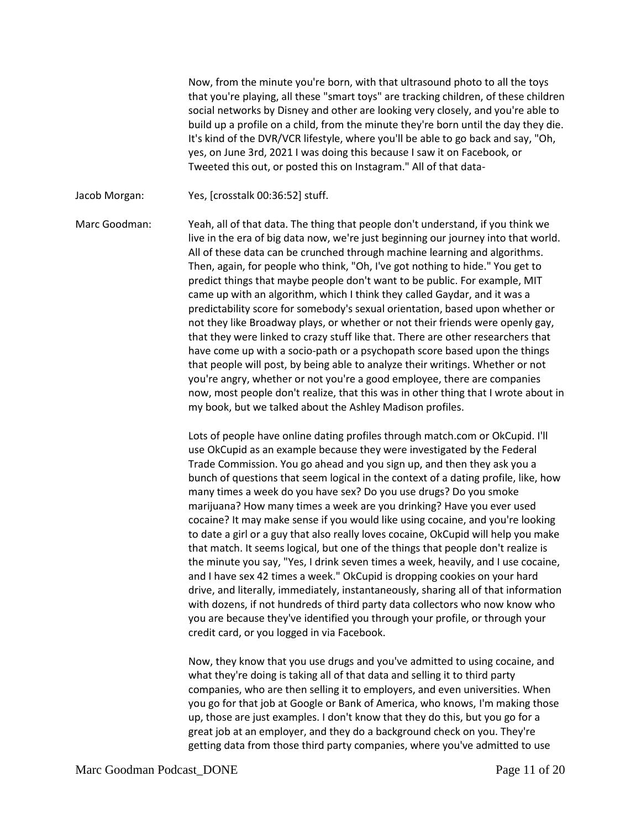Now, from the minute you're born, with that ultrasound photo to all the toys that you're playing, all these "smart toys" are tracking children, of these children social networks by Disney and other are looking very closely, and you're able to build up a profile on a child, from the minute they're born until the day they die. It's kind of the DVR/VCR lifestyle, where you'll be able to go back and say, "Oh, yes, on June 3rd, 2021 I was doing this because I saw it on Facebook, or Tweeted this out, or posted this on Instagram." All of that data-

Jacob Morgan: Yes, [crosstalk 00:36:52] stuff.

Marc Goodman: Yeah, all of that data. The thing that people don't understand, if you think we live in the era of big data now, we're just beginning our journey into that world. All of these data can be crunched through machine learning and algorithms. Then, again, for people who think, "Oh, I've got nothing to hide." You get to predict things that maybe people don't want to be public. For example, MIT came up with an algorithm, which I think they called Gaydar, and it was a predictability score for somebody's sexual orientation, based upon whether or not they like Broadway plays, or whether or not their friends were openly gay, that they were linked to crazy stuff like that. There are other researchers that have come up with a socio-path or a psychopath score based upon the things that people will post, by being able to analyze their writings. Whether or not you're angry, whether or not you're a good employee, there are companies now, most people don't realize, that this was in other thing that I wrote about in my book, but we talked about the Ashley Madison profiles.

> Lots of people have online dating profiles through match.com or OkCupid. I'll use OkCupid as an example because they were investigated by the Federal Trade Commission. You go ahead and you sign up, and then they ask you a bunch of questions that seem logical in the context of a dating profile, like, how many times a week do you have sex? Do you use drugs? Do you smoke marijuana? How many times a week are you drinking? Have you ever used cocaine? It may make sense if you would like using cocaine, and you're looking to date a girl or a guy that also really loves cocaine, OkCupid will help you make that match. It seems logical, but one of the things that people don't realize is the minute you say, "Yes, I drink seven times a week, heavily, and I use cocaine, and I have sex 42 times a week." OkCupid is dropping cookies on your hard drive, and literally, immediately, instantaneously, sharing all of that information with dozens, if not hundreds of third party data collectors who now know who you are because they've identified you through your profile, or through your credit card, or you logged in via Facebook.

> Now, they know that you use drugs and you've admitted to using cocaine, and what they're doing is taking all of that data and selling it to third party companies, who are then selling it to employers, and even universities. When you go for that job at Google or Bank of America, who knows, I'm making those up, those are just examples. I don't know that they do this, but you go for a great job at an employer, and they do a background check on you. They're getting data from those third party companies, where you've admitted to use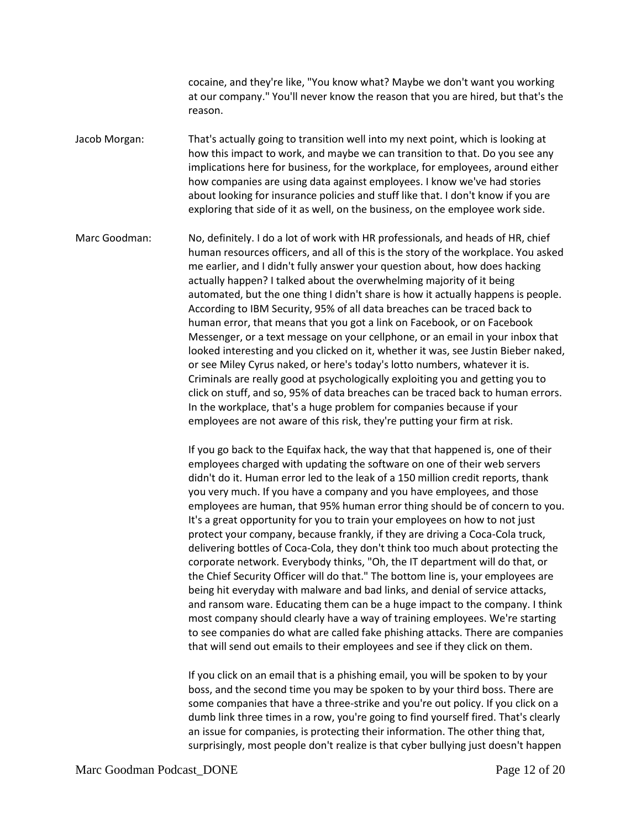cocaine, and they're like, "You know what? Maybe we don't want you working at our company." You'll never know the reason that you are hired, but that's the reason.

Jacob Morgan: That's actually going to transition well into my next point, which is looking at how this impact to work, and maybe we can transition to that. Do you see any implications here for business, for the workplace, for employees, around either how companies are using data against employees. I know we've had stories about looking for insurance policies and stuff like that. I don't know if you are exploring that side of it as well, on the business, on the employee work side.

Marc Goodman: No, definitely. I do a lot of work with HR professionals, and heads of HR, chief human resources officers, and all of this is the story of the workplace. You asked me earlier, and I didn't fully answer your question about, how does hacking actually happen? I talked about the overwhelming majority of it being automated, but the one thing I didn't share is how it actually happens is people. According to IBM Security, 95% of all data breaches can be traced back to human error, that means that you got a link on Facebook, or on Facebook Messenger, or a text message on your cellphone, or an email in your inbox that looked interesting and you clicked on it, whether it was, see Justin Bieber naked, or see Miley Cyrus naked, or here's today's lotto numbers, whatever it is. Criminals are really good at psychologically exploiting you and getting you to click on stuff, and so, 95% of data breaches can be traced back to human errors. In the workplace, that's a huge problem for companies because if your employees are not aware of this risk, they're putting your firm at risk.

> If you go back to the Equifax hack, the way that that happened is, one of their employees charged with updating the software on one of their web servers didn't do it. Human error led to the leak of a 150 million credit reports, thank you very much. If you have a company and you have employees, and those employees are human, that 95% human error thing should be of concern to you. It's a great opportunity for you to train your employees on how to not just protect your company, because frankly, if they are driving a Coca-Cola truck, delivering bottles of Coca-Cola, they don't think too much about protecting the corporate network. Everybody thinks, "Oh, the IT department will do that, or the Chief Security Officer will do that." The bottom line is, your employees are being hit everyday with malware and bad links, and denial of service attacks, and ransom ware. Educating them can be a huge impact to the company. I think most company should clearly have a way of training employees. We're starting to see companies do what are called fake phishing attacks. There are companies that will send out emails to their employees and see if they click on them.

> If you click on an email that is a phishing email, you will be spoken to by your boss, and the second time you may be spoken to by your third boss. There are some companies that have a three-strike and you're out policy. If you click on a dumb link three times in a row, you're going to find yourself fired. That's clearly an issue for companies, is protecting their information. The other thing that, surprisingly, most people don't realize is that cyber bullying just doesn't happen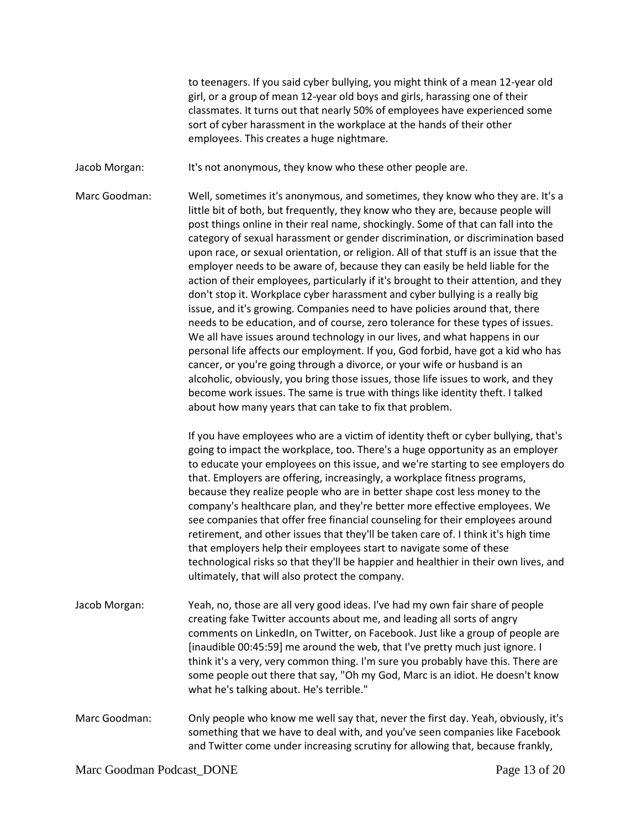to teenagers. If you said cyber bullying, you might think of a mean 12-year old girl, or a group of mean 12-year old boys and girls, harassing one of their classmates. It turns out that nearly 50% of employees have experienced some sort of cyber harassment in the workplace at the hands of their other employees. This creates a huge nightmare.

Jacob Morgan: It's not anonymous, they know who these other people are.

Marc Goodman: Well, sometimes it's anonymous, and sometimes, they know who they are. It's a little bit of both, but frequently, they know who they are, because people will post things online in their real name, shockingly. Some of that can fall into the category of sexual harassment or gender discrimination, or discrimination based upon race, or sexual orientation, or religion. All of that stuff is an issue that the employer needs to be aware of, because they can easily be held liable for the action of their employees, particularly if it's brought to their attention, and they don't stop it. Workplace cyber harassment and cyber bullying is a really big issue, and it's growing. Companies need to have policies around that, there needs to be education, and of course, zero tolerance for these types of issues. We all have issues around technology in our lives, and what happens in our personal life affects our employment. If you, God forbid, have got a kid who has cancer, or you're going through a divorce, or your wife or husband is an alcoholic, obviously, you bring those issues, those life issues to work, and they become work issues. The same is true with things like identity theft. I talked about how many years that can take to fix that problem.

> If you have employees who are a victim of identity theft or cyber bullying, that's going to impact the workplace, too. There's a huge opportunity as an employer to educate your employees on this issue, and we're starting to see employers do that. Employers are offering, increasingly, a workplace fitness programs, because they realize people who are in better shape cost less money to the company's healthcare plan, and they're better more effective employees. We see companies that offer free financial counseling for their employees around retirement, and other issues that they'll be taken care of. I think it's high time that employers help their employees start to navigate some of these technological risks so that they'll be happier and healthier in their own lives, and ultimately, that will also protect the company.

- Jacob Morgan: Yeah, no, those are all very good ideas. I've had my own fair share of people creating fake Twitter accounts about me, and leading all sorts of angry comments on LinkedIn, on Twitter, on Facebook. Just like a group of people are [inaudible 00:45:59] me around the web, that I've pretty much just ignore. I think it's a very, very common thing. I'm sure you probably have this. There are some people out there that say, "Oh my God, Marc is an idiot. He doesn't know what he's talking about. He's terrible."
- Marc Goodman: Only people who know me well say that, never the first day. Yeah, obviously, it's something that we have to deal with, and you've seen companies like Facebook and Twitter come under increasing scrutiny for allowing that, because frankly,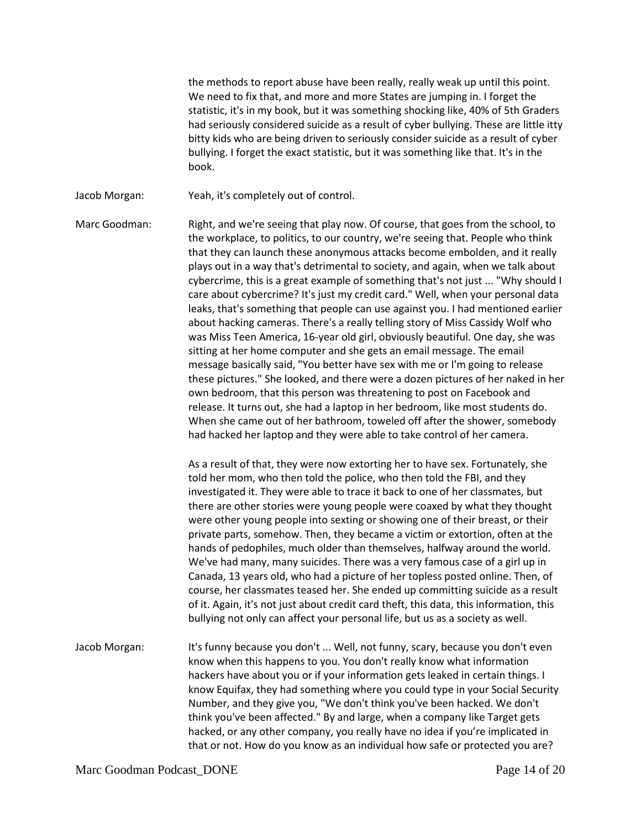the methods to report abuse have been really, really weak up until this point. We need to fix that, and more and more States are jumping in. I forget the statistic, it's in my book, but it was something shocking like, 40% of 5th Graders had seriously considered suicide as a result of cyber bullying. These are little itty bitty kids who are being driven to seriously consider suicide as a result of cyber bullying. I forget the exact statistic, but it was something like that. It's in the book.

Jacob Morgan: Yeah, it's completely out of control.

Marc Goodman: Right, and we're seeing that play now. Of course, that goes from the school, to the workplace, to politics, to our country, we're seeing that. People who think that they can launch these anonymous attacks become embolden, and it really plays out in a way that's detrimental to society, and again, when we talk about cybercrime, this is a great example of something that's not just ... "Why should I care about cybercrime? It's just my credit card." Well, when your personal data leaks, that's something that people can use against you. I had mentioned earlier about hacking cameras. There's a really telling story of Miss Cassidy Wolf who was Miss Teen America, 16-year old girl, obviously beautiful. One day, she was sitting at her home computer and she gets an email message. The email message basically said, "You better have sex with me or I'm going to release these pictures." She looked, and there were a dozen pictures of her naked in her own bedroom, that this person was threatening to post on Facebook and release. It turns out, she had a laptop in her bedroom, like most students do. When she came out of her bathroom, toweled off after the shower, somebody had hacked her laptop and they were able to take control of her camera.

> As a result of that, they were now extorting her to have sex. Fortunately, she told her mom, who then told the police, who then told the FBI, and they investigated it. They were able to trace it back to one of her classmates, but there are other stories were young people were coaxed by what they thought were other young people into sexting or showing one of their breast, or their private parts, somehow. Then, they became a victim or extortion, often at the hands of pedophiles, much older than themselves, halfway around the world. We've had many, many suicides. There was a very famous case of a girl up in Canada, 13 years old, who had a picture of her topless posted online. Then, of course, her classmates teased her. She ended up committing suicide as a result of it. Again, it's not just about credit card theft, this data, this information, this bullying not only can affect your personal life, but us as a society as well.

Jacob Morgan: It's funny because you don't ... Well, not funny, scary, because you don't even know when this happens to you. You don't really know what information hackers have about you or if your information gets leaked in certain things. I know Equifax, they had something where you could type in your Social Security Number, and they give you, "We don't think you've been hacked. We don't think you've been affected." By and large, when a company like Target gets hacked, or any other company, you really have no idea if you're implicated in that or not. How do you know as an individual how safe or protected you are?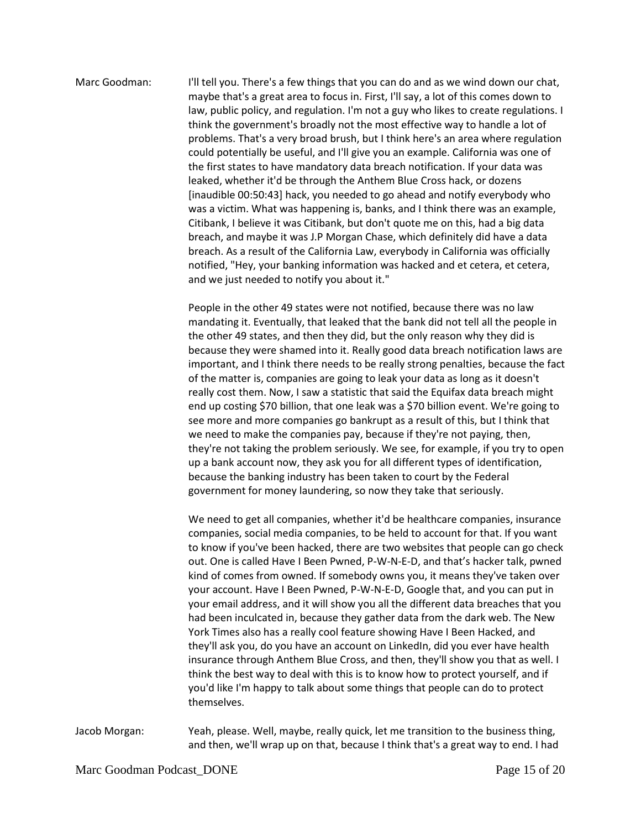Marc Goodman: I'll tell you. There's a few things that you can do and as we wind down our chat, maybe that's a great area to focus in. First, I'll say, a lot of this comes down to law, public policy, and regulation. I'm not a guy who likes to create regulations. I think the government's broadly not the most effective way to handle a lot of problems. That's a very broad brush, but I think here's an area where regulation could potentially be useful, and I'll give you an example. California was one of the first states to have mandatory data breach notification. If your data was leaked, whether it'd be through the Anthem Blue Cross hack, or dozens [inaudible 00:50:43] hack, you needed to go ahead and notify everybody who was a victim. What was happening is, banks, and I think there was an example, Citibank, I believe it was Citibank, but don't quote me on this, had a big data breach, and maybe it was J.P Morgan Chase, which definitely did have a data breach. As a result of the California Law, everybody in California was officially notified, "Hey, your banking information was hacked and et cetera, et cetera, and we just needed to notify you about it."

> People in the other 49 states were not notified, because there was no law mandating it. Eventually, that leaked that the bank did not tell all the people in the other 49 states, and then they did, but the only reason why they did is because they were shamed into it. Really good data breach notification laws are important, and I think there needs to be really strong penalties, because the fact of the matter is, companies are going to leak your data as long as it doesn't really cost them. Now, I saw a statistic that said the Equifax data breach might end up costing \$70 billion, that one leak was a \$70 billion event. We're going to see more and more companies go bankrupt as a result of this, but I think that we need to make the companies pay, because if they're not paying, then, they're not taking the problem seriously. We see, for example, if you try to open up a bank account now, they ask you for all different types of identification, because the banking industry has been taken to court by the Federal government for money laundering, so now they take that seriously.

> We need to get all companies, whether it'd be healthcare companies, insurance companies, social media companies, to be held to account for that. If you want to know if you've been hacked, there are two websites that people can go check out. One is called Have I Been Pwned, P-W-N-E-D, and that's hacker talk, pwned kind of comes from owned. If somebody owns you, it means they've taken over your account. Have I Been Pwned, P-W-N-E-D, Google that, and you can put in your email address, and it will show you all the different data breaches that you had been inculcated in, because they gather data from the dark web. The New York Times also has a really cool feature showing Have I Been Hacked, and they'll ask you, do you have an account on LinkedIn, did you ever have health insurance through Anthem Blue Cross, and then, they'll show you that as well. I think the best way to deal with this is to know how to protect yourself, and if you'd like I'm happy to talk about some things that people can do to protect themselves.

Jacob Morgan: Yeah, please. Well, maybe, really quick, let me transition to the business thing, and then, we'll wrap up on that, because I think that's a great way to end. I had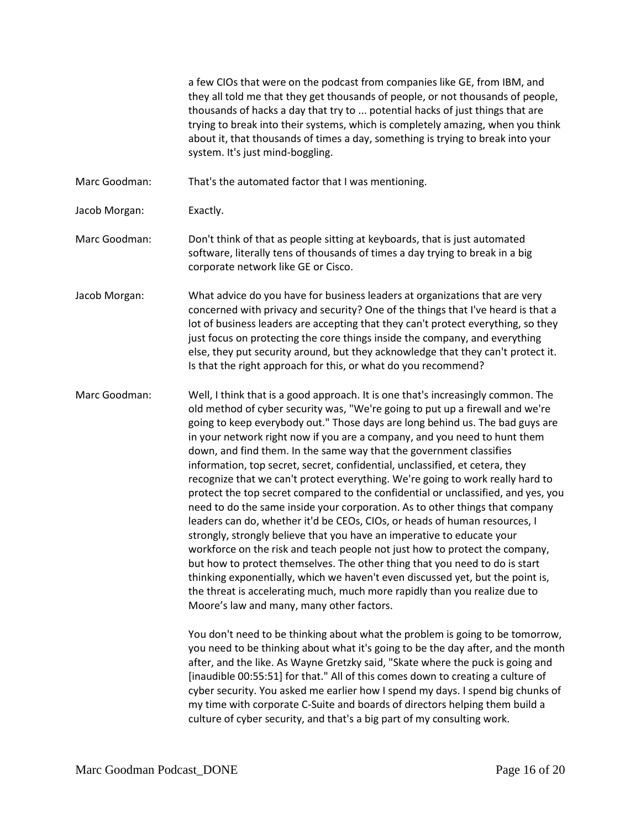a few CIOs that were on the podcast from companies like GE, from IBM, and they all told me that they get thousands of people, or not thousands of people, thousands of hacks a day that try to ... potential hacks of just things that are trying to break into their systems, which is completely amazing, when you think about it, that thousands of times a day, something is trying to break into your system. It's just mind-boggling.

- Marc Goodman: That's the automated factor that I was mentioning.
- Jacob Morgan: Exactly.
- Marc Goodman: Don't think of that as people sitting at keyboards, that is just automated software, literally tens of thousands of times a day trying to break in a big corporate network like GE or Cisco.
- Jacob Morgan: What advice do you have for business leaders at organizations that are very concerned with privacy and security? One of the things that I've heard is that a lot of business leaders are accepting that they can't protect everything, so they just focus on protecting the core things inside the company, and everything else, they put security around, but they acknowledge that they can't protect it. Is that the right approach for this, or what do you recommend?
- Marc Goodman: Well, I think that is a good approach. It is one that's increasingly common. The old method of cyber security was, "We're going to put up a firewall and we're going to keep everybody out." Those days are long behind us. The bad guys are in your network right now if you are a company, and you need to hunt them down, and find them. In the same way that the government classifies information, top secret, secret, confidential, unclassified, et cetera, they recognize that we can't protect everything. We're going to work really hard to protect the top secret compared to the confidential or unclassified, and yes, you need to do the same inside your corporation. As to other things that company leaders can do, whether it'd be CEOs, CIOs, or heads of human resources, I strongly, strongly believe that you have an imperative to educate your workforce on the risk and teach people not just how to protect the company, but how to protect themselves. The other thing that you need to do is start thinking exponentially, which we haven't even discussed yet, but the point is, the threat is accelerating much, much more rapidly than you realize due to Moore's law and many, many other factors.

You don't need to be thinking about what the problem is going to be tomorrow, you need to be thinking about what it's going to be the day after, and the month after, and the like. As Wayne Gretzky said, "Skate where the puck is going and [inaudible 00:55:51] for that." All of this comes down to creating a culture of cyber security. You asked me earlier how I spend my days. I spend big chunks of my time with corporate C-Suite and boards of directors helping them build a culture of cyber security, and that's a big part of my consulting work.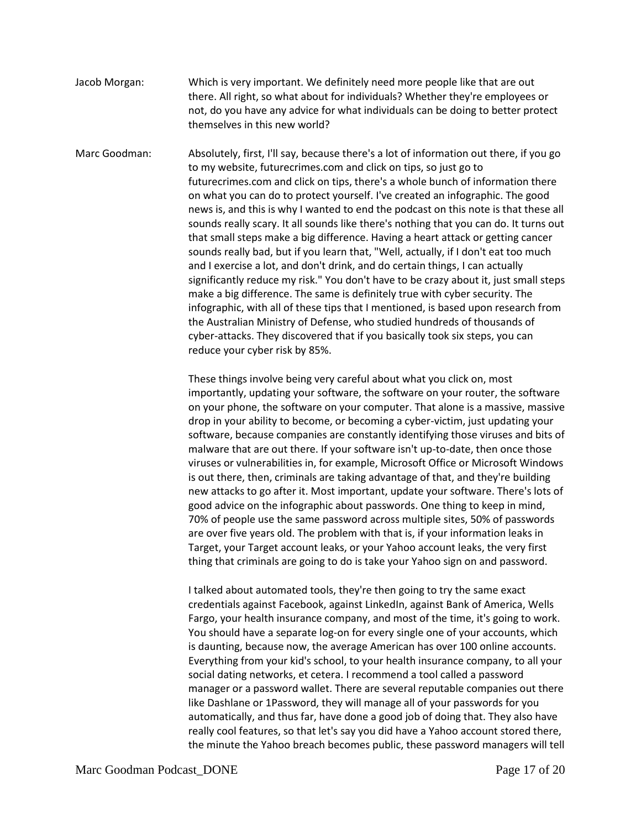Jacob Morgan: Which is very important. We definitely need more people like that are out there. All right, so what about for individuals? Whether they're employees or not, do you have any advice for what individuals can be doing to better protect themselves in this new world?

Marc Goodman: Absolutely, first, I'll say, because there's a lot of information out there, if you go to my website, futurecrimes.com and click on tips, so just go to futurecrimes.com and click on tips, there's a whole bunch of information there on what you can do to protect yourself. I've created an infographic. The good news is, and this is why I wanted to end the podcast on this note is that these all sounds really scary. It all sounds like there's nothing that you can do. It turns out that small steps make a big difference. Having a heart attack or getting cancer sounds really bad, but if you learn that, "Well, actually, if I don't eat too much and I exercise a lot, and don't drink, and do certain things, I can actually significantly reduce my risk." You don't have to be crazy about it, just small steps make a big difference. The same is definitely true with cyber security. The infographic, with all of these tips that I mentioned, is based upon research from the Australian Ministry of Defense, who studied hundreds of thousands of cyber-attacks. They discovered that if you basically took six steps, you can reduce your cyber risk by 85%.

> These things involve being very careful about what you click on, most importantly, updating your software, the software on your router, the software on your phone, the software on your computer. That alone is a massive, massive drop in your ability to become, or becoming a cyber-victim, just updating your software, because companies are constantly identifying those viruses and bits of malware that are out there. If your software isn't up-to-date, then once those viruses or vulnerabilities in, for example, Microsoft Office or Microsoft Windows is out there, then, criminals are taking advantage of that, and they're building new attacks to go after it. Most important, update your software. There's lots of good advice on the infographic about passwords. One thing to keep in mind, 70% of people use the same password across multiple sites, 50% of passwords are over five years old. The problem with that is, if your information leaks in Target, your Target account leaks, or your Yahoo account leaks, the very first thing that criminals are going to do is take your Yahoo sign on and password.

> I talked about automated tools, they're then going to try the same exact credentials against Facebook, against LinkedIn, against Bank of America, Wells Fargo, your health insurance company, and most of the time, it's going to work. You should have a separate log-on for every single one of your accounts, which is daunting, because now, the average American has over 100 online accounts. Everything from your kid's school, to your health insurance company, to all your social dating networks, et cetera. I recommend a tool called a password manager or a password wallet. There are several reputable companies out there like Dashlane or 1Password, they will manage all of your passwords for you automatically, and thus far, have done a good job of doing that. They also have really cool features, so that let's say you did have a Yahoo account stored there, the minute the Yahoo breach becomes public, these password managers will tell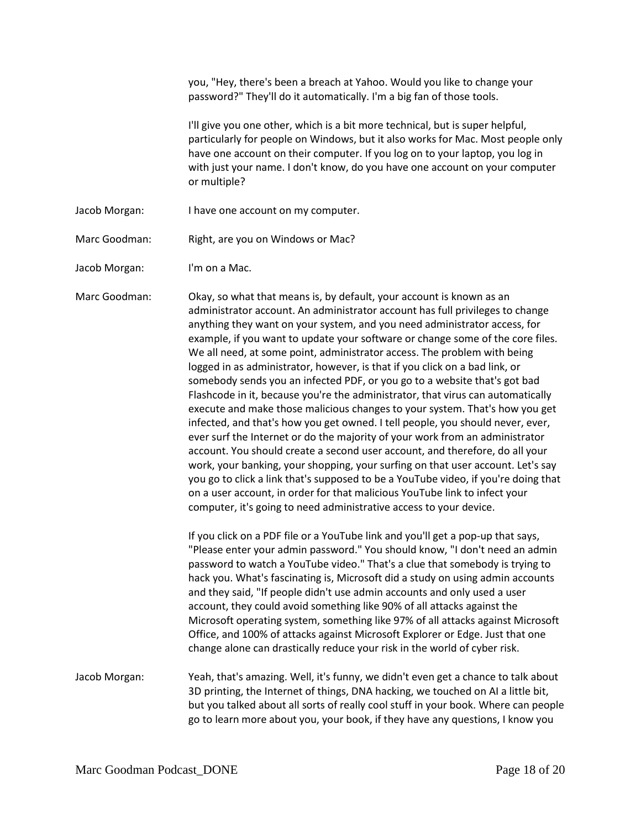|               | you, "Hey, there's been a breach at Yahoo. Would you like to change your<br>password?" They'll do it automatically. I'm a big fan of those tools.                                                                                                                                                                                                                                                                                                                                                                                                                                                                                                                                                                                                                                                                                                                                                                                                                                                                                                                                                                                                                                                                                                                                                             |
|---------------|---------------------------------------------------------------------------------------------------------------------------------------------------------------------------------------------------------------------------------------------------------------------------------------------------------------------------------------------------------------------------------------------------------------------------------------------------------------------------------------------------------------------------------------------------------------------------------------------------------------------------------------------------------------------------------------------------------------------------------------------------------------------------------------------------------------------------------------------------------------------------------------------------------------------------------------------------------------------------------------------------------------------------------------------------------------------------------------------------------------------------------------------------------------------------------------------------------------------------------------------------------------------------------------------------------------|
|               | I'll give you one other, which is a bit more technical, but is super helpful,<br>particularly for people on Windows, but it also works for Mac. Most people only<br>have one account on their computer. If you log on to your laptop, you log in<br>with just your name. I don't know, do you have one account on your computer<br>or multiple?                                                                                                                                                                                                                                                                                                                                                                                                                                                                                                                                                                                                                                                                                                                                                                                                                                                                                                                                                               |
| Jacob Morgan: | I have one account on my computer.                                                                                                                                                                                                                                                                                                                                                                                                                                                                                                                                                                                                                                                                                                                                                                                                                                                                                                                                                                                                                                                                                                                                                                                                                                                                            |
| Marc Goodman: | Right, are you on Windows or Mac?                                                                                                                                                                                                                                                                                                                                                                                                                                                                                                                                                                                                                                                                                                                                                                                                                                                                                                                                                                                                                                                                                                                                                                                                                                                                             |
| Jacob Morgan: | I'm on a Mac.                                                                                                                                                                                                                                                                                                                                                                                                                                                                                                                                                                                                                                                                                                                                                                                                                                                                                                                                                                                                                                                                                                                                                                                                                                                                                                 |
| Marc Goodman: | Okay, so what that means is, by default, your account is known as an<br>administrator account. An administrator account has full privileges to change<br>anything they want on your system, and you need administrator access, for<br>example, if you want to update your software or change some of the core files.<br>We all need, at some point, administrator access. The problem with being<br>logged in as administrator, however, is that if you click on a bad link, or<br>somebody sends you an infected PDF, or you go to a website that's got bad<br>Flashcode in it, because you're the administrator, that virus can automatically<br>execute and make those malicious changes to your system. That's how you get<br>infected, and that's how you get owned. I tell people, you should never, ever,<br>ever surf the Internet or do the majority of your work from an administrator<br>account. You should create a second user account, and therefore, do all your<br>work, your banking, your shopping, your surfing on that user account. Let's say<br>you go to click a link that's supposed to be a YouTube video, if you're doing that<br>on a user account, in order for that malicious YouTube link to infect your<br>computer, it's going to need administrative access to your device. |
|               | If you click on a PDF file or a YouTube link and you'll get a pop-up that says,<br>"Please enter your admin password." You should know, "I don't need an admin<br>password to watch a YouTube video." That's a clue that somebody is trying to<br>hack you. What's fascinating is, Microsoft did a study on using admin accounts<br>and they said, "If people didn't use admin accounts and only used a user<br>account, they could avoid something like 90% of all attacks against the<br>Microsoft operating system, something like 97% of all attacks against Microsoft<br>Office, and 100% of attacks against Microsoft Explorer or Edge. Just that one<br>change alone can drastically reduce your risk in the world of cyber risk.                                                                                                                                                                                                                                                                                                                                                                                                                                                                                                                                                                      |
| Jacob Morgan: | Yeah, that's amazing. Well, it's funny, we didn't even get a chance to talk about<br>3D printing, the Internet of things, DNA hacking, we touched on AI a little bit,<br>but you talked about all sorts of really cool stuff in your book. Where can people<br>go to learn more about you, your book, if they have any questions, I know you                                                                                                                                                                                                                                                                                                                                                                                                                                                                                                                                                                                                                                                                                                                                                                                                                                                                                                                                                                  |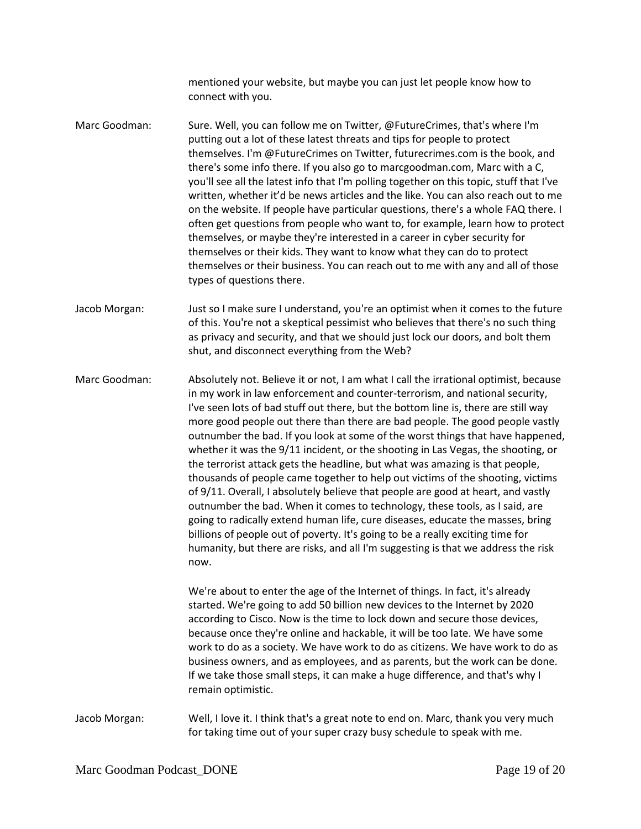mentioned your website, but maybe you can just let people know how to connect with you.

- Marc Goodman: Sure. Well, you can follow me on Twitter, @FutureCrimes, that's where I'm putting out a lot of these latest threats and tips for people to protect themselves. I'm @FutureCrimes on Twitter, futurecrimes.com is the book, and there's some info there. If you also go to marcgoodman.com, Marc with a C, you'll see all the latest info that I'm polling together on this topic, stuff that I've written, whether it'd be news articles and the like. You can also reach out to me on the website. If people have particular questions, there's a whole FAQ there. I often get questions from people who want to, for example, learn how to protect themselves, or maybe they're interested in a career in cyber security for themselves or their kids. They want to know what they can do to protect themselves or their business. You can reach out to me with any and all of those types of questions there.
- Jacob Morgan: Just so I make sure I understand, you're an optimist when it comes to the future of this. You're not a skeptical pessimist who believes that there's no such thing as privacy and security, and that we should just lock our doors, and bolt them shut, and disconnect everything from the Web?

Marc Goodman: Absolutely not. Believe it or not, I am what I call the irrational optimist, because in my work in law enforcement and counter-terrorism, and national security, I've seen lots of bad stuff out there, but the bottom line is, there are still way more good people out there than there are bad people. The good people vastly outnumber the bad. If you look at some of the worst things that have happened, whether it was the 9/11 incident, or the shooting in Las Vegas, the shooting, or the terrorist attack gets the headline, but what was amazing is that people, thousands of people came together to help out victims of the shooting, victims of 9/11. Overall, I absolutely believe that people are good at heart, and vastly outnumber the bad. When it comes to technology, these tools, as I said, are going to radically extend human life, cure diseases, educate the masses, bring billions of people out of poverty. It's going to be a really exciting time for humanity, but there are risks, and all I'm suggesting is that we address the risk now.

> We're about to enter the age of the Internet of things. In fact, it's already started. We're going to add 50 billion new devices to the Internet by 2020 according to Cisco. Now is the time to lock down and secure those devices, because once they're online and hackable, it will be too late. We have some work to do as a society. We have work to do as citizens. We have work to do as business owners, and as employees, and as parents, but the work can be done. If we take those small steps, it can make a huge difference, and that's why I remain optimistic.

Jacob Morgan: Well, I love it. I think that's a great note to end on. Marc, thank you very much for taking time out of your super crazy busy schedule to speak with me.